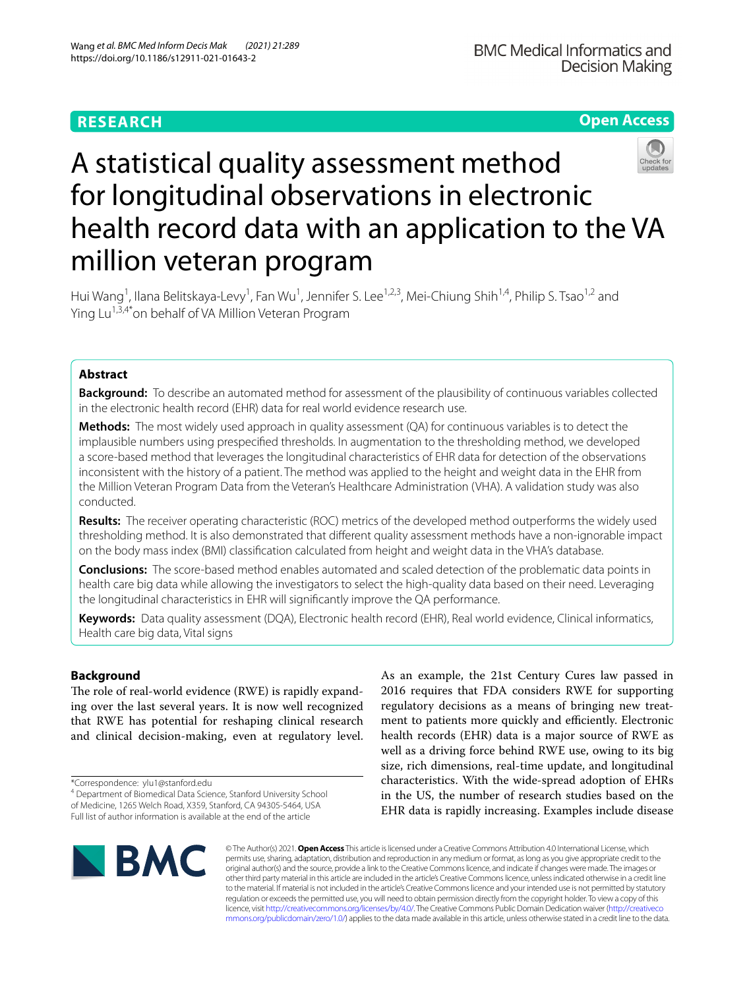# **RESEARCH**

**Open Access**

# A statistical quality assessment method for longitudinal observations in electronic health record data with an application to the VA million veteran program

Hui Wang<sup>1</sup>, Ilana Belitskaya-Levy<sup>1</sup>, Fan Wu<sup>1</sup>, Jennifer S. Lee<sup>1,2,3</sup>, Mei-Chiung Shih<sup>1,4</sup>, Philip S. Tsao<sup>1,2</sup> and Ying Lu<sup>1,3,4\*</sup>on behalf of VA Million Veteran Program

# **Abstract**

**Background:** To describe an automated method for assessment of the plausibility of continuous variables collected in the electronic health record (EHR) data for real world evidence research use.

**Methods:** The most widely used approach in quality assessment (QA) for continuous variables is to detect the implausible numbers using prespecifed thresholds. In augmentation to the thresholding method, we developed a score-based method that leverages the longitudinal characteristics of EHR data for detection of the observations inconsistent with the history of a patient. The method was applied to the height and weight data in the EHR from the Million Veteran Program Data from the Veteran's Healthcare Administration (VHA). A validation study was also conducted.

**Results:** The receiver operating characteristic (ROC) metrics of the developed method outperforms the widely used thresholding method. It is also demonstrated that diferent quality assessment methods have a non-ignorable impact on the body mass index (BMI) classifcation calculated from height and weight data in the VHA's database.

**Conclusions:** The score-based method enables automated and scaled detection of the problematic data points in health care big data while allowing the investigators to select the high-quality data based on their need. Leveraging the longitudinal characteristics in EHR will signifcantly improve the QA performance.

**Keywords:** Data quality assessment (DQA), Electronic health record (EHR), Real world evidence, Clinical informatics, Health care big data, Vital signs

## **Background**

The role of real-world evidence (RWE) is rapidly expanding over the last several years. It is now well recognized that RWE has potential for reshaping clinical research and clinical decision-making, even at regulatory level.

\*Correspondence: ylu1@stanford.edu

As an example, the 21st Century Cures law passed in 2016 requires that FDA considers RWE for supporting regulatory decisions as a means of bringing new treatment to patients more quickly and efficiently. Electronic health records (EHR) data is a major source of RWE as well as a driving force behind RWE use, owing to its big size, rich dimensions, real-time update, and longitudinal characteristics. With the wide-spread adoption of EHRs in the US, the number of research studies based on the EHR data is rapidly increasing. Examples include disease



© The Author(s) 2021. **Open Access** This article is licensed under a Creative Commons Attribution 4.0 International License, which permits use, sharing, adaptation, distribution and reproduction in any medium or format, as long as you give appropriate credit to the original author(s) and the source, provide a link to the Creative Commons licence, and indicate if changes were made. The images or other third party material in this article are included in the article's Creative Commons licence, unless indicated otherwise in a credit line to the material. If material is not included in the article's Creative Commons licence and your intended use is not permitted by statutory regulation or exceeds the permitted use, you will need to obtain permission directly from the copyright holder. To view a copy of this licence, visit [http://creativecommons.org/licenses/by/4.0/.](http://creativecommons.org/licenses/by/4.0/) The Creative Commons Public Domain Dedication waiver ([http://creativeco](http://creativecommons.org/publicdomain/zero/1.0/) [mmons.org/publicdomain/zero/1.0/](http://creativecommons.org/publicdomain/zero/1.0/)) applies to the data made available in this article, unless otherwise stated in a credit line to the data.

<sup>4</sup> Department of Biomedical Data Science, Stanford University School of Medicine, 1265 Welch Road, X359, Stanford, CA 94305‑5464, USA Full list of author information is available at the end of the article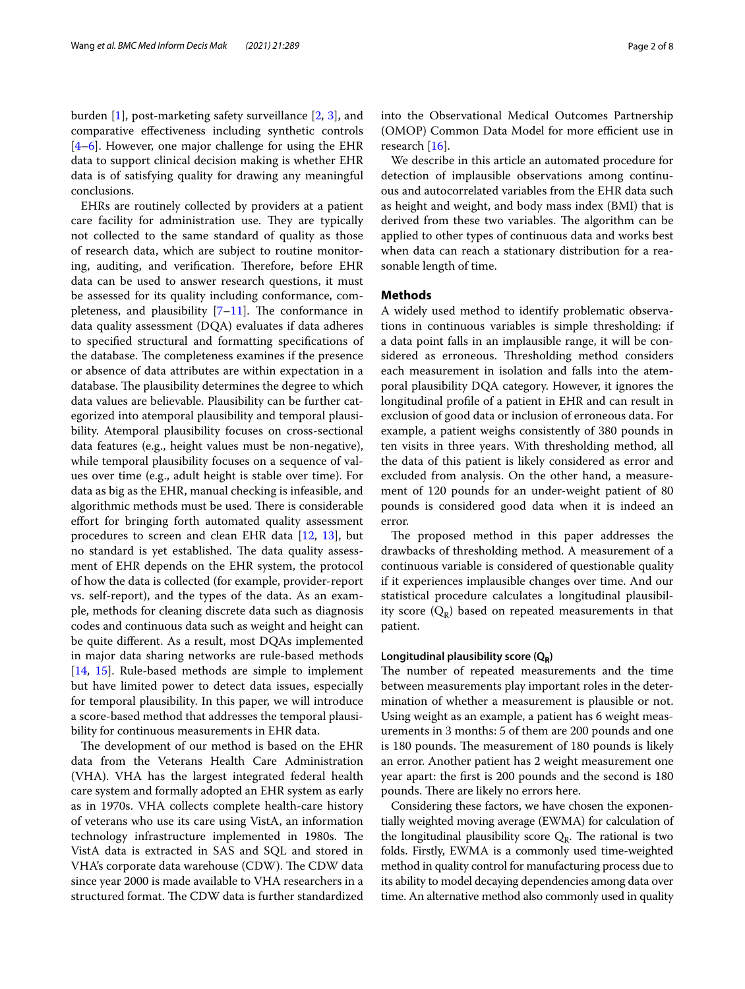burden [\[1](#page-7-0)], post-marketing safety surveillance [\[2,](#page-7-1) [3](#page-7-2)], and comparative efectiveness including synthetic controls [[4–](#page-7-3)[6\]](#page-7-4). However, one major challenge for using the EHR data to support clinical decision making is whether EHR data is of satisfying quality for drawing any meaningful conclusions.

EHRs are routinely collected by providers at a patient care facility for administration use. They are typically not collected to the same standard of quality as those of research data, which are subject to routine monitoring, auditing, and verification. Therefore, before EHR data can be used to answer research questions, it must be assessed for its quality including conformance, completeness, and plausibility  $[7-11]$  $[7-11]$  $[7-11]$ . The conformance in data quality assessment (DQA) evaluates if data adheres to specifed structural and formatting specifcations of the database. The completeness examines if the presence or absence of data attributes are within expectation in a database. The plausibility determines the degree to which data values are believable. Plausibility can be further categorized into atemporal plausibility and temporal plausibility. Atemporal plausibility focuses on cross-sectional data features (e.g., height values must be non-negative), while temporal plausibility focuses on a sequence of values over time (e.g., adult height is stable over time). For data as big as the EHR, manual checking is infeasible, and algorithmic methods must be used. There is considerable efort for bringing forth automated quality assessment procedures to screen and clean EHR data [[12](#page-7-7), [13](#page-7-8)], but no standard is yet established. The data quality assessment of EHR depends on the EHR system, the protocol of how the data is collected (for example, provider-report vs. self-report), and the types of the data. As an example, methods for cleaning discrete data such as diagnosis codes and continuous data such as weight and height can be quite diferent. As a result, most DQAs implemented in major data sharing networks are rule-based methods [[14,](#page-7-9) [15](#page-7-10)]. Rule-based methods are simple to implement but have limited power to detect data issues, especially for temporal plausibility. In this paper, we will introduce a score-based method that addresses the temporal plausibility for continuous measurements in EHR data.

The development of our method is based on the EHR data from the Veterans Health Care Administration (VHA). VHA has the largest integrated federal health care system and formally adopted an EHR system as early as in 1970s. VHA collects complete health-care history of veterans who use its care using VistA, an information technology infrastructure implemented in 1980s. The VistA data is extracted in SAS and SQL and stored in VHA's corporate data warehouse (CDW). The CDW data since year 2000 is made available to VHA researchers in a structured format. The CDW data is further standardized into the Observational Medical Outcomes Partnership (OMOP) Common Data Model for more efficient use in research [[16\]](#page-7-11).

We describe in this article an automated procedure for detection of implausible observations among continuous and autocorrelated variables from the EHR data such as height and weight, and body mass index (BMI) that is derived from these two variables. The algorithm can be applied to other types of continuous data and works best when data can reach a stationary distribution for a reasonable length of time.

#### **Methods**

A widely used method to identify problematic observations in continuous variables is simple thresholding: if a data point falls in an implausible range, it will be considered as erroneous. Thresholding method considers each measurement in isolation and falls into the atemporal plausibility DQA category. However, it ignores the longitudinal profle of a patient in EHR and can result in exclusion of good data or inclusion of erroneous data. For example, a patient weighs consistently of 380 pounds in ten visits in three years. With thresholding method, all the data of this patient is likely considered as error and excluded from analysis. On the other hand, a measurement of 120 pounds for an under-weight patient of 80 pounds is considered good data when it is indeed an error.

The proposed method in this paper addresses the drawbacks of thresholding method. A measurement of a continuous variable is considered of questionable quality if it experiences implausible changes over time. And our statistical procedure calculates a longitudinal plausibility score  $(Q_R)$  based on repeated measurements in that patient.

#### Longitudinal plausibility score (Q<sub>R</sub>)

The number of repeated measurements and the time between measurements play important roles in the determination of whether a measurement is plausible or not. Using weight as an example, a patient has 6 weight measurements in 3 months: 5 of them are 200 pounds and one is 180 pounds. The measurement of 180 pounds is likely an error. Another patient has 2 weight measurement one year apart: the frst is 200 pounds and the second is 180 pounds. There are likely no errors here.

Considering these factors, we have chosen the exponentially weighted moving average (EWMA) for calculation of the longitudinal plausibility score  $Q_R$ . The rational is two folds. Firstly, EWMA is a commonly used time-weighted method in quality control for manufacturing process due to its ability to model decaying dependencies among data over time. An alternative method also commonly used in quality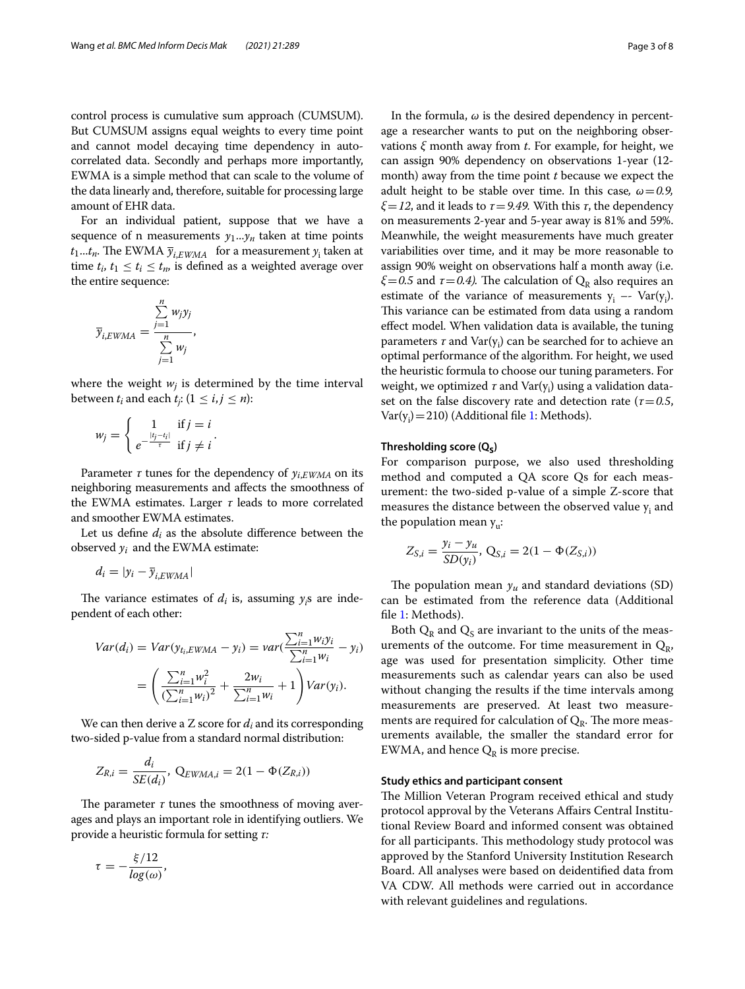control process is cumulative sum approach (CUMSUM). But CUMSUM assigns equal weights to every time point and cannot model decaying time dependency in autocorrelated data. Secondly and perhaps more importantly, EWMA is a simple method that can scale to the volume of the data linearly and, therefore, suitable for processing large amount of EHR data.

For an individual patient, suppose that we have a sequence of n measurements  $y_1...y_n$  taken at time points  $t_1...t_n$ . The EWMA  $\bar{y}_{i,EWMA}$  for a measurement  $y_i$  taken at time  $t_i$ ,  $t_1 \leq t_i \leq t_m$ , is defined as a weighted average over the entire sequence:

$$
\overline{y}_{i,EWMA} = \frac{\sum_{j=1}^{n} w_j y_j}{\sum_{j=1}^{n} w_j},
$$

where the weight  $w_i$  is determined by the time interval between  $t_i$  and each  $t_j$ : ( $1\leq i,j\leq n$ ):

$$
w_j = \begin{cases} 1 & \text{if } j = i \\ e^{-\frac{|t_j - t_i|}{\tau}} & \text{if } j \neq i \end{cases}.
$$

Parameter  $\tau$  tunes for the dependency of  $y_{i,EWMA}$  on its neighboring measurements and afects the smoothness of the EWMA estimates. Larger *τ* leads to more correlated and smoother EWMA estimates.

Let us define  $d_i$  as the absolute difference between the observed  $y_i$  and the EWMA estimate:

$$
d_i = |y_i - \overline{y}_{i,EWMA}|
$$

The variance estimates of  $d_i$  is, assuming  $y_i$ s are independent of each other:

$$
Var(d_i) = Var(y_{t_i,EWMA} - y_i) = var(\frac{\sum_{i=1}^{n} w_i y_i}{\sum_{i=1}^{n} w_i} - y_i)
$$

$$
= \left(\frac{\sum_{i=1}^{n} w_i^2}{(\sum_{i=1}^{n} w_i)^2} + \frac{2w_i}{\sum_{i=1}^{n} w_i} + 1\right) Var(y_i).
$$

We can then derive a Z score for  $d_i$  and its corresponding two-sided p-value from a standard normal distribution:

$$
Z_{R,i} = \frac{d_i}{SE(d_i)}, \ Q_{EWMA,i} = 2(1 - \Phi(Z_{R,i}))
$$

The parameter  $\tau$  tunes the smoothness of moving averages and plays an important role in identifying outliers. We provide a heuristic formula for setting *τ:*

$$
\tau = -\frac{\xi/12}{\log(\omega)},
$$

In the formula, *ω* is the desired dependency in percentage a researcher wants to put on the neighboring observations *ξ* month away from *t*. For example, for height, we can assign 90% dependency on observations 1-year (12 month) away from the time point *t* because we expect the adult height to be stable over time. In this case*, ω*=*0.9, ξ*=*12*, and it leads to *τ*=*9.49.* With this *τ*, the dependency on measurements 2-year and 5-year away is 81% and 59%. Meanwhile, the weight measurements have much greater variabilities over time, and it may be more reasonable to assign 90% weight on observations half a month away (i.e.  $\xi$ =0.5 and  $\tau$ =0.4). The calculation of  $Q_R$  also requires an estimate of the variance of measurements  $y_i$  -- Var( $y_i$ ). This variance can be estimated from data using a random efect model. When validation data is available, the tuning parameters *τ* and Var(y<sub>i</sub>) can be searched for to achieve an optimal performance of the algorithm. For height, we used the heuristic formula to choose our tuning parameters. For weight, we optimized  $\tau$  and  $\text{Var}(\mathsf{y}_\text{i})$  using a validation dataset on the false discovery rate and detection rate (*τ*=*0.5*,  $Var(y_i)$  = 210) (Additional file [1:](#page-6-0) Methods).

#### Thresholding score (Q<sub>S</sub>)

For comparison purpose, we also used thresholding method and computed a QA score Qs for each measurement: the two-sided p-value of a simple Z-score that measures the distance between the observed value  $y_i$  and the population mean  $y_{\mu}$ :

$$
Z_{S,i} = \frac{y_i - y_u}{SD(y_i)}, \ Q_{S,i} = 2(1 - \Phi(Z_{S,i}))
$$

The population mean  $y_u$  and standard deviations (SD) can be estimated from the reference data (Additional fle [1](#page-6-0): Methods).

Both  $Q_R$  and  $Q_S$  are invariant to the units of the measurements of the outcome. For time measurement in  $Q_{\text{R}}$ , age was used for presentation simplicity. Other time measurements such as calendar years can also be used without changing the results if the time intervals among measurements are preserved. At least two measurements are required for calculation of  $Q_R$ . The more measurements available, the smaller the standard error for EWMA, and hence  $Q_R$  is more precise.

#### **Study ethics and participant consent**

The Million Veteran Program received ethical and study protocol approval by the Veterans Afairs Central Institutional Review Board and informed consent was obtained for all participants. This methodology study protocol was approved by the Stanford University Institution Research Board. All analyses were based on deidentifed data from VA CDW. All methods were carried out in accordance with relevant guidelines and regulations.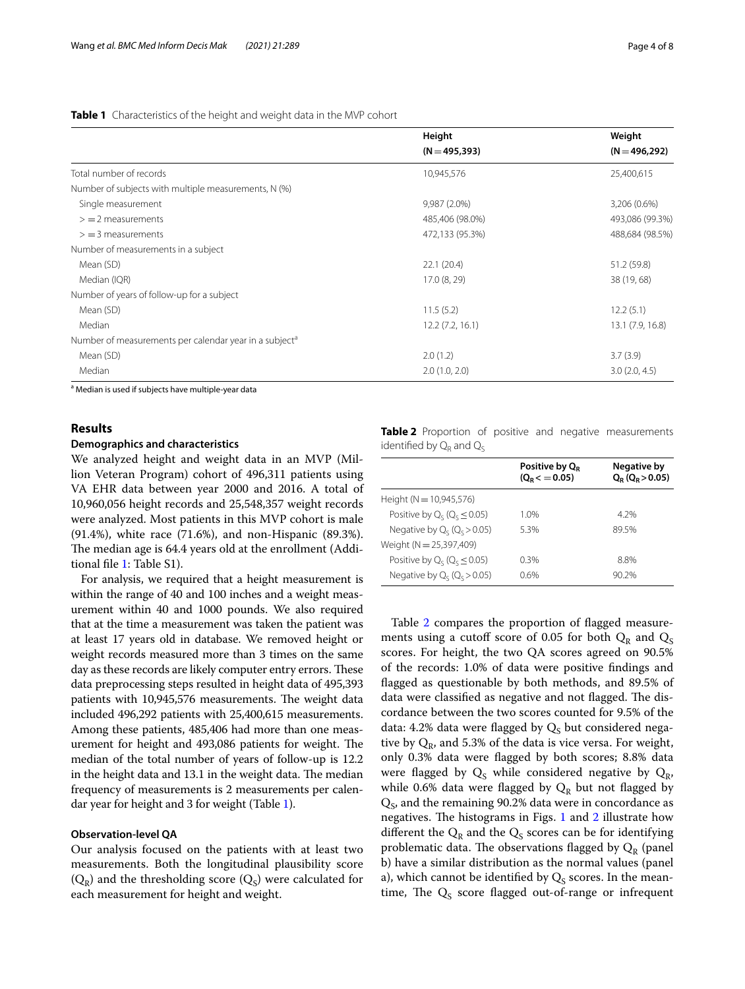#### <span id="page-3-0"></span>**Table 1** Characteristics of the height and weight data in the MVP cohort

|                                                                    | Height           | Weight           |
|--------------------------------------------------------------------|------------------|------------------|
|                                                                    | $(N = 495, 393)$ | $(N = 496, 292)$ |
| Total number of records                                            | 10,945,576       | 25,400,615       |
| Number of subjects with multiple measurements, N (%)               |                  |                  |
| Single measurement                                                 | 9,987 (2.0%)     | 3,206 (0.6%)     |
| $>$ = 2 measurements                                               | 485,406 (98.0%)  | 493,086 (99.3%)  |
| $>$ = 3 measurements                                               | 472,133 (95.3%)  | 488,684 (98.5%)  |
| Number of measurements in a subject                                |                  |                  |
| Mean (SD)                                                          | 22.1(20.4)       | 51.2 (59.8)      |
| Median (IQR)                                                       | 17.0 (8, 29)     | 38 (19, 68)      |
| Number of years of follow-up for a subject                         |                  |                  |
| Mean (SD)                                                          | 11.5(5.2)        | 12.2(5.1)        |
| Median                                                             | 12.2(7.2, 16.1)  | 13.1 (7.9, 16.8) |
| Number of measurements per calendar year in a subject <sup>a</sup> |                  |                  |
| Mean (SD)                                                          | 2.0(1.2)         | 3.7(3.9)         |
| Median                                                             | 2.0(1.0, 2.0)    | 3.0(2.0, 4.5)    |

<sup>a</sup> Median is used if subjects have multiple-year data

#### **Results**

#### **Demographics and characteristics**

We analyzed height and weight data in an MVP (Million Veteran Program) cohort of 496,311 patients using VA EHR data between year 2000 and 2016. A total of 10,960,056 height records and 25,548,357 weight records were analyzed. Most patients in this MVP cohort is male (91.4%), white race (71.6%), and non-Hispanic (89.3%). The median age is 64.4 years old at the enrollment (Additional fle [1](#page-6-0): Table S1).

For analysis, we required that a height measurement is within the range of 40 and 100 inches and a weight measurement within 40 and 1000 pounds. We also required that at the time a measurement was taken the patient was at least 17 years old in database. We removed height or weight records measured more than 3 times on the same day as these records are likely computer entry errors. These data preprocessing steps resulted in height data of 495,393 patients with 10,945,576 measurements. The weight data included 496,292 patients with 25,400,615 measurements. Among these patients, 485,406 had more than one measurement for height and 493,086 patients for weight. The median of the total number of years of follow-up is 12.2 in the height data and 13.1 in the weight data. The median frequency of measurements is 2 measurements per calendar year for height and 3 for weight (Table [1](#page-3-0)).

#### **Observation‑level QA**

Our analysis focused on the patients with at least two measurements. Both the longitudinal plausibility score  $(Q_R)$  and the thresholding score  $(Q_S)$  were calculated for each measurement for height and weight.

<span id="page-3-1"></span>**Table 2** Proportion of positive and negative measurements identified by  $Q_R$  and  $Q_S$ 

|                                      | Positive by $Q_R$<br>$(Q_R < 0.05)$ | Negative by<br>$Q_{\rm R}$ ( $Q_{\rm R}$ > 0.05) |
|--------------------------------------|-------------------------------------|--------------------------------------------------|
| Height ( $N = 10,945,576$ )          |                                     |                                                  |
| Positive by $Q_c$ ( $Q_c \le 0.05$ ) | 1.0%                                | 4 2%                                             |
| Negative by $Q_c$ ( $Q_c > 0.05$ )   | 5.3%                                | 89.5%                                            |
| Weight (N = 25,397,409)              |                                     |                                                  |
| Positive by $Q_c$ ( $Q_c \le 0.05$ ) | 0.3%                                | 8.8%                                             |
| Negative by $Q_c$ ( $Q_c > 0.05$ )   | 0.6%                                | 90.2%                                            |

Table [2](#page-3-1) compares the proportion of flagged measurements using a cutoff score of 0.05 for both  $Q_R$  and  $Q_S$ scores. For height, the two QA scores agreed on 90.5% of the records: 1.0% of data were positive fndings and fagged as questionable by both methods, and 89.5% of data were classified as negative and not flagged. The discordance between the two scores counted for 9.5% of the data: 4.2% data were flagged by  $Q_S$  but considered negative by  $Q_R$ , and 5.3% of the data is vice versa. For weight, only 0.3% data were fagged by both scores; 8.8% data were flagged by  $Q_S$  while considered negative by  $Q_R$ , while 0.6% data were flagged by  $Q_R$  but not flagged by  $Q<sub>S</sub>$ , and the remaining 90.2% data were in concordance as negatives. The histograms in Figs.  $1$  and  $2$  illustrate how different the  $Q_R$  and the  $Q_S$  scores can be for identifying problematic data. The observations flagged by  $Q_R$  (panel b) have a similar distribution as the normal values (panel a), which cannot be identified by  $Q_S$  scores. In the meantime, The  $Q_S$  score flagged out-of-range or infrequent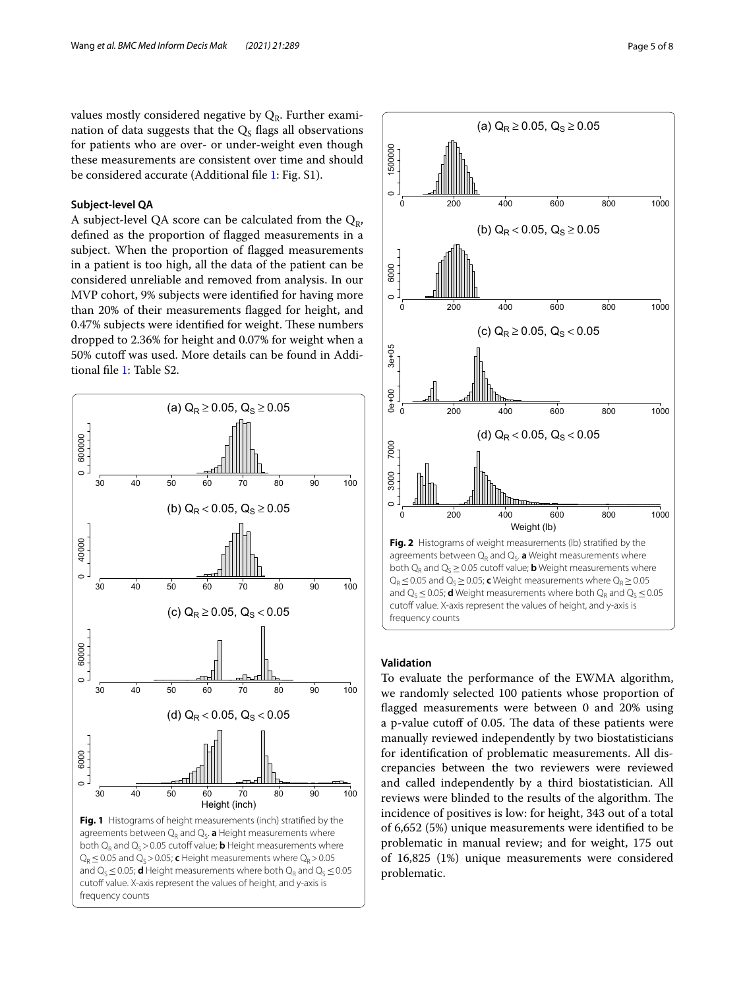values mostly considered negative by  $Q_R$ . Further examination of data suggests that the  $Q<sub>s</sub>$  flags all observations for patients who are over- or under-weight even though these measurements are consistent over time and should be considered accurate (Additional fle [1](#page-6-0): Fig. S1).

#### **Subject‑level QA**

A subject-level QA score can be calculated from the  $Q_{R}$ , defned as the proportion of fagged measurements in a subject. When the proportion of fagged measurements in a patient is too high, all the data of the patient can be considered unreliable and removed from analysis. In our MVP cohort, 9% subjects were identifed for having more than 20% of their measurements fagged for height, and 0.47% subjects were identified for weight. These numbers dropped to 2.36% for height and 0.07% for weight when a 50% cutoff was used. More details can be found in Additional fle [1](#page-6-0): Table S2.





### <span id="page-4-1"></span>**Validation**

<span id="page-4-0"></span>To evaluate the performance of the EWMA algorithm, we randomly selected 100 patients whose proportion of fagged measurements were between 0 and 20% using a p-value cutoff of 0.05. The data of these patients were manually reviewed independently by two biostatisticians for identifcation of problematic measurements. All discrepancies between the two reviewers were reviewed and called independently by a third biostatistician. All reviews were blinded to the results of the algorithm. The incidence of positives is low: for height, 343 out of a total of 6,652 (5%) unique measurements were identifed to be problematic in manual review; and for weight, 175 out of 16,825 (1%) unique measurements were considered problematic.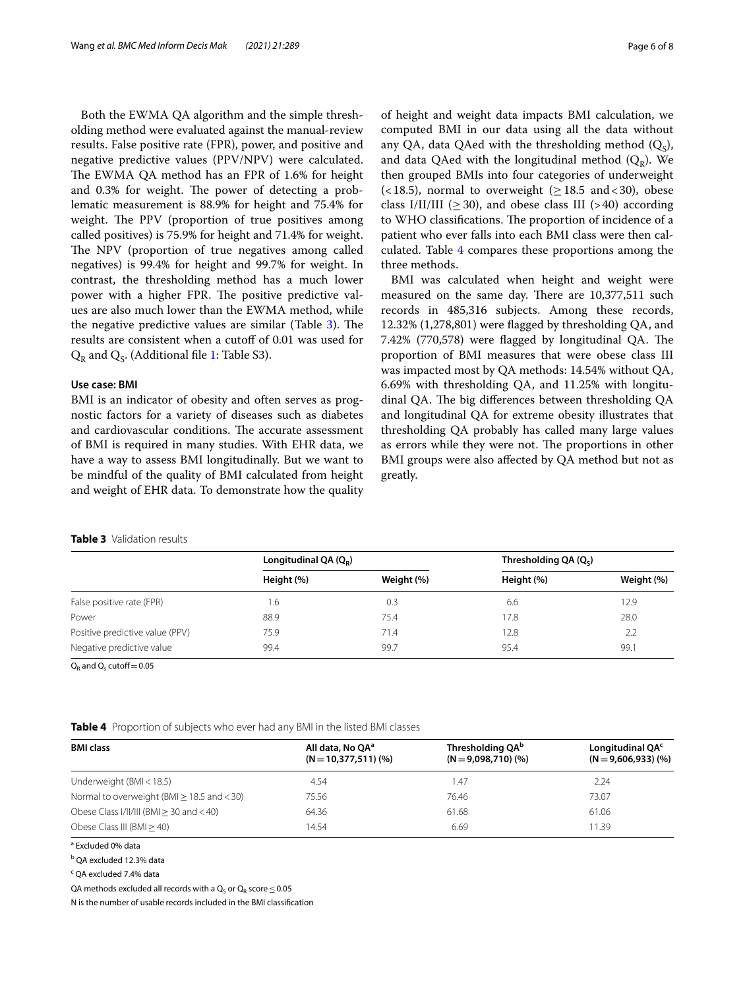Both the EWMA QA algorithm and the simple thresholding method were evaluated against the manual-review results. False positive rate (FPR), power, and positive and negative predictive values (PPV/NPV) were calculated. The EWMA QA method has an FPR of 1.6% for height and 0.3% for weight. The power of detecting a problematic measurement is 88.9% for height and 75.4% for weight. The PPV (proportion of true positives among called positives) is 75.9% for height and 71.4% for weight. The NPV (proportion of true negatives among called negatives) is 99.4% for height and 99.7% for weight. In contrast, the thresholding method has a much lower power with a higher FPR. The positive predictive values are also much lower than the EWMA method, while the negative predictive values are similar (Table  $3$ ). The results are consistent when a cutoff of 0.01 was used for  $Q_R$  and  $Q_S$ . (Additional file [1:](#page-6-0) Table S3).

#### **Use case: BMI**

BMI is an indicator of obesity and often serves as prognostic factors for a variety of diseases such as diabetes and cardiovascular conditions. The accurate assessment of BMI is required in many studies. With EHR data, we have a way to assess BMI longitudinally. But we want to be mindful of the quality of BMI calculated from height and weight of EHR data. To demonstrate how the quality

of height and weight data impacts BMI calculation, we computed BMI in our data using all the data without any QA, data QAed with the thresholding method  $(Q<sub>s</sub>)$ , and data QAed with the longitudinal method  $(Q_R)$ . We then grouped BMIs into four categories of underweight  $(< 18.5)$ , normal to overweight ( $\geq 18.5$  and  $< 30$ ), obese class I/II/III ( $\geq$  30), and obese class III ( $>$  40) according to WHO classifications. The proportion of incidence of a patient who ever falls into each BMI class were then calculated. Table [4](#page-5-1) compares these proportions among the three methods.

BMI was calculated when height and weight were measured on the same day. There are 10,377,511 such records in 485,316 subjects. Among these records, 12.32% (1,278,801) were fagged by thresholding QA, and 7.42% (770,578) were flagged by longitudinal QA. The proportion of BMI measures that were obese class III was impacted most by QA methods: 14.54% without QA, 6.69% with thresholding QA, and 11.25% with longitudinal QA. The big differences between thresholding QA and longitudinal QA for extreme obesity illustrates that thresholding QA probably has called many large values as errors while they were not. The proportions in other BMI groups were also afected by QA method but not as greatly.

<span id="page-5-0"></span>

|  | <b>Table 3</b> Validation results |  |
|--|-----------------------------------|--|
|  |                                   |  |

|                                 | Longitudinal QA $(Q_R)$ |            | Thresholding $QA(Qc)$ |            |
|---------------------------------|-------------------------|------------|-----------------------|------------|
|                                 | Height (%)              | Weight (%) | Height (%)            | Weight (%) |
| False positive rate (FPR)       | i.6                     | 0.3        | 6.6                   | 12.9       |
| Power                           | 88.9                    | 75.4       | 17.8                  | 28.0       |
| Positive predictive value (PPV) | 75.9                    | 71.4       | 12.8                  | 2.2        |
| Negative predictive value       | 99.4                    | 99.7       | 95.4                  | 99.1       |

 $Q_R$  and  $Q_s$  cutoff = 0.05

<span id="page-5-1"></span>

|  |  | Table 4 Proportion of subjects who ever had any BMI in the listed BMI classes |  |  |  |  |
|--|--|-------------------------------------------------------------------------------|--|--|--|--|
|--|--|-------------------------------------------------------------------------------|--|--|--|--|

| <b>BMI class</b>                                | All data, No OA <sup>a</sup><br>$(N = 10,377,511)$ (%) | Thresholding QA <sup>b</sup><br>$(N=9,098,710)$ (%) | Longitudinal QA <sup>c</sup><br>$(N=9,606,933)$ (%) |
|-------------------------------------------------|--------------------------------------------------------|-----------------------------------------------------|-----------------------------------------------------|
| Underweight (BMI < 18.5)                        | 4.54                                                   | 47. ا                                               | 2.24                                                |
| Normal to overweight (BMI $\geq$ 18.5 and < 30) | 75.56                                                  | 76.46                                               | 73.07                                               |
| Obese Class I/II/III (BMI $>$ 30 and $<$ 40)    | 64.36                                                  | 61.68                                               | 61.06                                               |
| Obese Class III $(BMI > 40)$                    | 14.54                                                  | 6.69                                                | 11.39                                               |

<sup>a</sup> Excluded 0% data

<sup>b</sup> QA excluded 12.3% data

<sup>c</sup> QA excluded 7.4% data

QA methods excluded all records with a  $Q_S$  or  $Q_R$  score ≤0.05

N is the number of usable records included in the BMI classifcation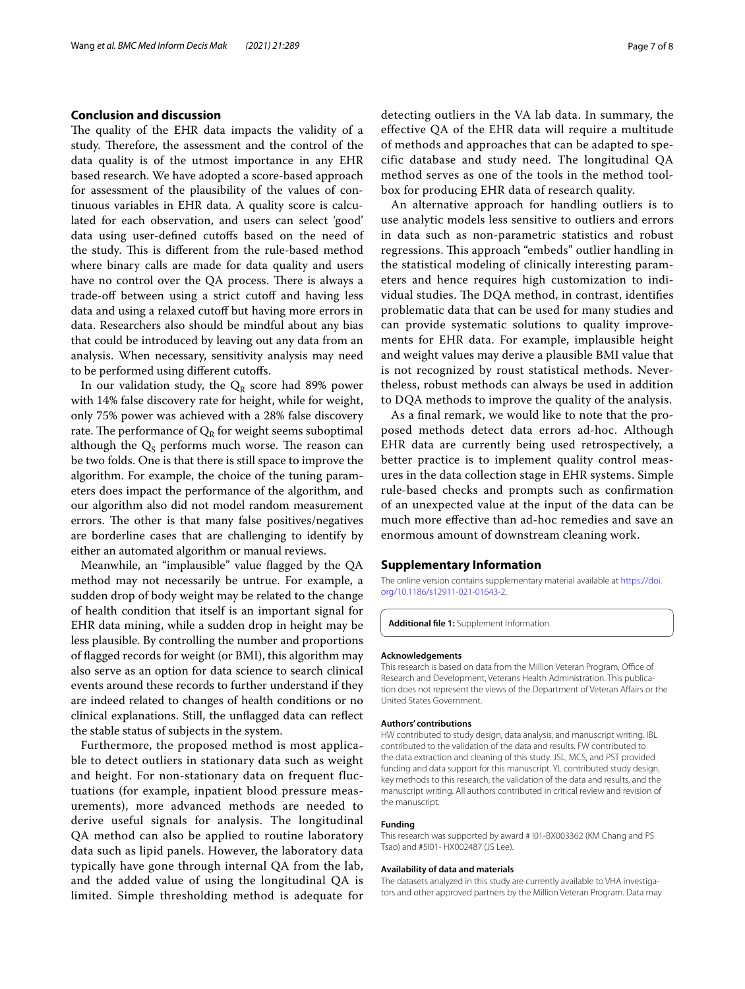#### **Conclusion and discussion**

The quality of the EHR data impacts the validity of a study. Therefore, the assessment and the control of the data quality is of the utmost importance in any EHR based research. We have adopted a score-based approach for assessment of the plausibility of the values of continuous variables in EHR data. A quality score is calculated for each observation, and users can select 'good' data using user-defned cutofs based on the need of the study. This is different from the rule-based method where binary calls are made for data quality and users have no control over the QA process. There is always a trade-off between using a strict cutoff and having less data and using a relaxed cutoff but having more errors in data. Researchers also should be mindful about any bias that could be introduced by leaving out any data from an analysis. When necessary, sensitivity analysis may need to be performed using diferent cutofs.

In our validation study, the  $Q_R$  score had 89% power with 14% false discovery rate for height, while for weight, only 75% power was achieved with a 28% false discovery rate. The performance of  $Q_R$  for weight seems suboptimal although the  $Q<sub>S</sub>$  performs much worse. The reason can be two folds. One is that there is still space to improve the algorithm. For example, the choice of the tuning parameters does impact the performance of the algorithm, and our algorithm also did not model random measurement errors. The other is that many false positives/negatives are borderline cases that are challenging to identify by either an automated algorithm or manual reviews.

Meanwhile, an "implausible" value fagged by the QA method may not necessarily be untrue. For example, a sudden drop of body weight may be related to the change of health condition that itself is an important signal for EHR data mining, while a sudden drop in height may be less plausible. By controlling the number and proportions of fagged records for weight (or BMI), this algorithm may also serve as an option for data science to search clinical events around these records to further understand if they are indeed related to changes of health conditions or no clinical explanations. Still, the unfagged data can refect the stable status of subjects in the system.

Furthermore, the proposed method is most applicable to detect outliers in stationary data such as weight and height. For non-stationary data on frequent fluctuations (for example, inpatient blood pressure measurements), more advanced methods are needed to derive useful signals for analysis. The longitudinal QA method can also be applied to routine laboratory data such as lipid panels. However, the laboratory data typically have gone through internal QA from the lab, and the added value of using the longitudinal QA is limited. Simple thresholding method is adequate for detecting outliers in the VA lab data. In summary, the effective QA of the EHR data will require a multitude of methods and approaches that can be adapted to specific database and study need. The longitudinal QA method serves as one of the tools in the method toolbox for producing EHR data of research quality.

An alternative approach for handling outliers is to use analytic models less sensitive to outliers and errors in data such as non-parametric statistics and robust regressions. This approach "embeds" outlier handling in the statistical modeling of clinically interesting parameters and hence requires high customization to individual studies. The DQA method, in contrast, identifies problematic data that can be used for many studies and can provide systematic solutions to quality improvements for EHR data. For example, implausible height and weight values may derive a plausible BMI value that is not recognized by roust statistical methods. Nevertheless, robust methods can always be used in addition to DQA methods to improve the quality of the analysis.

As a fnal remark, we would like to note that the proposed methods detect data errors ad-hoc. Although EHR data are currently being used retrospectively, a better practice is to implement quality control measures in the data collection stage in EHR systems. Simple rule-based checks and prompts such as confrmation of an unexpected value at the input of the data can be much more efective than ad-hoc remedies and save an enormous amount of downstream cleaning work.

#### **Supplementary Information**

The online version contains supplementary material available at [https://doi.](https://doi.org/10.1186/s12911-021-01643-2) [org/10.1186/s12911-021-01643-2](https://doi.org/10.1186/s12911-021-01643-2).

<span id="page-6-0"></span>**Additional fle 1:** Supplement Information.

#### **Acknowledgements**

This research is based on data from the Million Veteran Program, Office of Research and Development, Veterans Health Administration. This publica‑ tion does not represent the views of the Department of Veteran Afairs or the United States Government.

#### **Authors' contributions**

HW contributed to study design, data analysis, and manuscript writing. IBL contributed to the validation of the data and results. FW contributed to the data extraction and cleaning of this study. JSL, MCS, and PST provided funding and data support for this manuscript. YL contributed study design. key methods to this research, the validation of the data and results, and the manuscript writing. All authors contributed in critical review and revision of the manuscript.

#### **Funding**

This research was supported by award # I01-BX003362 (KM Chang and PS Tsao) and #5I01- HX002487 (JS Lee).

#### **Availability of data and materials**

The datasets analyzed in this study are currently available to VHA investigators and other approved partners by the Million Veteran Program. Data may